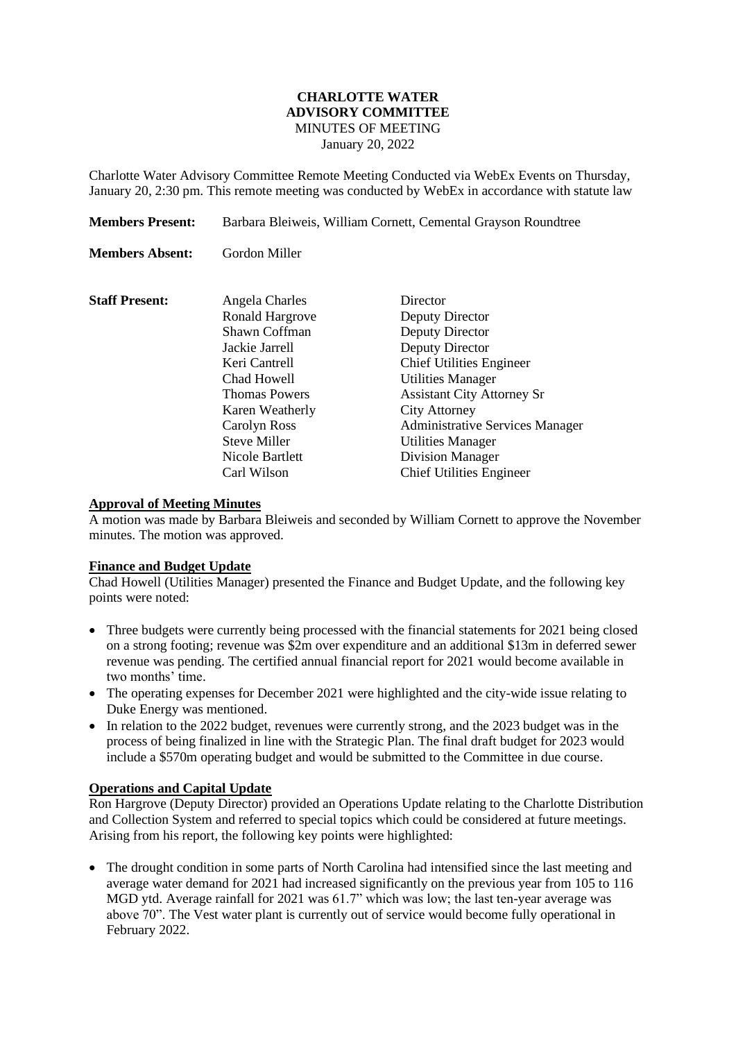### **CHARLOTTE WATER ADVISORY COMMITTEE** MINUTES OF MEETING January 20, 2022

Charlotte Water Advisory Committee Remote Meeting Conducted via WebEx Events on Thursday, January 20, 2:30 pm. This remote meeting was conducted by WebEx in accordance with statute law

**Members Present:** Barbara Bleiweis, William Cornett, Cemental Grayson Roundtree **Members Absent:** Gordon Miller **Staff Present:** Angela Charles Director Ronald Hargrove Deputy Director Shawn Coffman Deputy Director Jackie Jarrell Deputy Director Keri Cantrell Chief Utilities Engineer Chad Howell Utilities Manager Thomas Powers Assistant City Attorney Sr Karen Weatherly City Attorney Carolyn Ross Administrative Services Manager Steve Miller Utilities Manager Nicole Bartlett Division Manager Carl Wilson Chief Utilities Engineer

### **Approval of Meeting Minutes**

A motion was made by Barbara Bleiweis and seconded by William Cornett to approve the November minutes. The motion was approved.

### **Finance and Budget Update**

Chad Howell (Utilities Manager) presented the Finance and Budget Update, and the following key points were noted:

- Three budgets were currently being processed with the financial statements for 2021 being closed on a strong footing; revenue was \$2m over expenditure and an additional \$13m in deferred sewer revenue was pending. The certified annual financial report for 2021 would become available in two months' time.
- The operating expenses for December 2021 were highlighted and the city-wide issue relating to Duke Energy was mentioned.
- In relation to the 2022 budget, revenues were currently strong, and the 2023 budget was in the process of being finalized in line with the Strategic Plan. The final draft budget for 2023 would include a \$570m operating budget and would be submitted to the Committee in due course.

### **Operations and Capital Update**

Ron Hargrove (Deputy Director) provided an Operations Update relating to the Charlotte Distribution and Collection System and referred to special topics which could be considered at future meetings. Arising from his report, the following key points were highlighted:

• The drought condition in some parts of North Carolina had intensified since the last meeting and average water demand for 2021 had increased significantly on the previous year from 105 to 116 MGD ytd. Average rainfall for 2021 was 61.7" which was low; the last ten-year average was above 70". The Vest water plant is currently out of service would become fully operational in February 2022.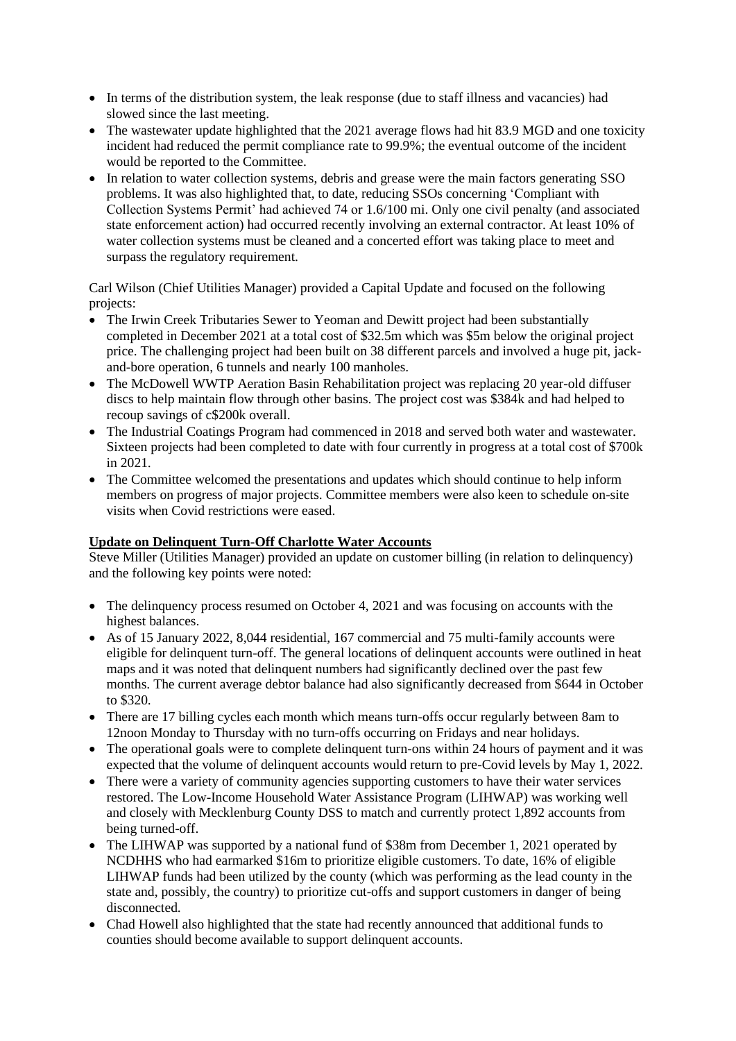- In terms of the distribution system, the leak response (due to staff illness and vacancies) had slowed since the last meeting.
- The wastewater update highlighted that the 2021 average flows had hit 83.9 MGD and one toxicity incident had reduced the permit compliance rate to 99.9%; the eventual outcome of the incident would be reported to the Committee.
- In relation to water collection systems, debris and grease were the main factors generating SSO problems. It was also highlighted that, to date, reducing SSOs concerning 'Compliant with Collection Systems Permit' had achieved 74 or 1.6/100 mi. Only one civil penalty (and associated state enforcement action) had occurred recently involving an external contractor. At least 10% of water collection systems must be cleaned and a concerted effort was taking place to meet and surpass the regulatory requirement.

Carl Wilson (Chief Utilities Manager) provided a Capital Update and focused on the following projects:

- The Irwin Creek Tributaries Sewer to Yeoman and Dewitt project had been substantially completed in December 2021 at a total cost of \$32.5m which was \$5m below the original project price. The challenging project had been built on 38 different parcels and involved a huge pit, jackand-bore operation, 6 tunnels and nearly 100 manholes.
- The McDowell WWTP Aeration Basin Rehabilitation project was replacing 20 year-old diffuser discs to help maintain flow through other basins. The project cost was \$384k and had helped to recoup savings of c\$200k overall.
- The Industrial Coatings Program had commenced in 2018 and served both water and wastewater. Sixteen projects had been completed to date with four currently in progress at a total cost of \$700k in 2021.
- The Committee welcomed the presentations and updates which should continue to help inform members on progress of major projects. Committee members were also keen to schedule on-site visits when Covid restrictions were eased.

## **Update on Delinquent Turn-Off Charlotte Water Accounts**

Steve Miller (Utilities Manager) provided an update on customer billing (in relation to delinquency) and the following key points were noted:

- The delinquency process resumed on October 4, 2021 and was focusing on accounts with the highest balances.
- As of 15 January 2022, 8,044 residential, 167 commercial and 75 multi-family accounts were eligible for delinquent turn-off. The general locations of delinquent accounts were outlined in heat maps and it was noted that delinquent numbers had significantly declined over the past few months. The current average debtor balance had also significantly decreased from \$644 in October to \$320.
- There are 17 billing cycles each month which means turn-offs occur regularly between 8am to 12noon Monday to Thursday with no turn-offs occurring on Fridays and near holidays.
- The operational goals were to complete delinquent turn-ons within 24 hours of payment and it was expected that the volume of delinquent accounts would return to pre-Covid levels by May 1, 2022.
- There were a variety of community agencies supporting customers to have their water services restored. The Low-Income Household Water Assistance Program (LIHWAP) was working well and closely with Mecklenburg County DSS to match and currently protect 1,892 accounts from being turned-off.
- The LIHWAP was supported by a national fund of \$38m from December 1, 2021 operated by NCDHHS who had earmarked \$16m to prioritize eligible customers. To date, 16% of eligible LIHWAP funds had been utilized by the county (which was performing as the lead county in the state and, possibly, the country) to prioritize cut-offs and support customers in danger of being disconnected.
- Chad Howell also highlighted that the state had recently announced that additional funds to counties should become available to support delinquent accounts.